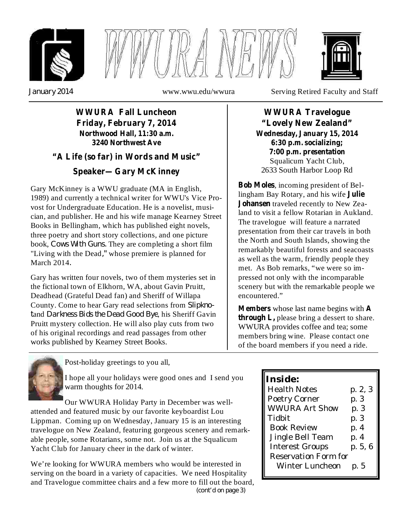





*January 2014*

www.wwu.edu/wwura Serving Retired Faculty and Staff

## **WWURA Fall Luncheon Friday, February 7, 2014 Northwood Hall, 11:30 a.m. 3240 Northwest Ave**

## **"A Life (so far) in Words and Music"**

## **Speaker—Gary McKinney**

book, Cows With Guns. They are completing a short film "Living with the Dead," whose premiere is planned for *.* March 2014 Gary McKinney is a WWU graduate (MA in English, 1989) and currently a technical writer for WWU's Vice Provost for Undergraduate Education. He is a novelist, musician, and publisher. He and his wife manage Kearney Street Books in Bellingham, which has published eight novels, three poetry and short story collections, and one picture

County. Come to hear Gary read selections from Slipkno*t Darkness Bids the Dead Good Bye* and , his Sheriff Gavin Gary has written four novels, two of them mysteries set in the fictional town of Elkhorn, WA, about Gavin Pruitt, Deadhead (Grateful Dead fan) and Sheriff of Willapa Pruitt mystery collection. He will also play cuts from two of his original recordings and read passages from other works published by Kearney Street Books.

Squalicum Yacht Club, 2633 South Harbor Loop Rd **WWURA Travelogue "Lovely New Zealand" Wednesday, January 15, 2014 6:30 p.m. socializing; 7:00 p.m. presentation**

, incoming president of Bel-**Bob Moles** lingham Bay Rotary, and his wife **Julie** Johansen traveled recently to New Zealand to visit a fellow Rotarian in Aukland. The travelogue will feature a narrated presentation from their car travels in both the North and South Islands, showing the remarkably beautiful forests and seacoasts as well as the warm, friendly people they met. As Bob remarks, "we were so impressed not only with the incomparable scenery but with the remarkable people we encountered."

**Members** whose last name begins with A **through L,** please bring a dessert to share. WWURA provides coffee and tea; some members bring wine. Please contact one of the board members if you need a ride.



Post-holiday greetings to you all,

I hope all your holidays were good ones and I send you warm thoughts for 2014.

Our WWURA Holiday Party in December was wellattended and featured music by our favorite keyboardist Lou Lippman. Coming up on Wednesday, January 15 is an interesting travelogue on New Zealand, featuring gorgeous scenery and remarkable people, some Rotarians, some not. Join us at the Squalicum Yacht Club for January cheer in the dark of winter.

*(cont'd on page 3)* We're looking for WWURA members who would be interested in serving on the board in a variety of capacities. We need Hospitality and Travelogue committee chairs and a few more to fill out the board,

| Inside:                     |         |
|-----------------------------|---------|
| <b>Health Notes</b>         | p. 2, 3 |
| Poetry Corner               | p. 3    |
| <b>WWURA Art Show</b>       | p. 3    |
| Tidbit                      | p. 3    |
| <b>Book Review</b>          | p. 4    |
| Jingle Bell Team            | p. 4    |
| <b>Interest Groups</b>      | p. 5, 6 |
| <b>Reservation Form for</b> |         |
| Winter Luncheon             | p. 5    |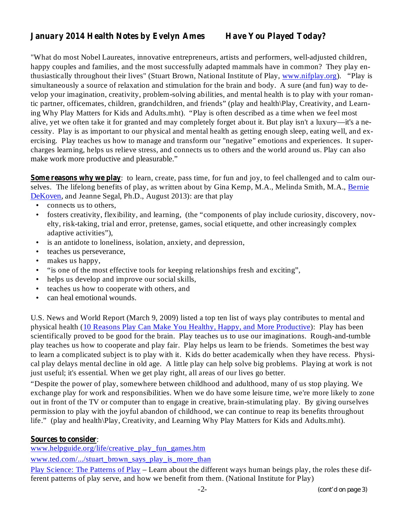### **January 2014 Health Notes by Evelyn Ames Have You Played Today?**

"What do most Nobel Laureates, innovative entrepreneurs, artists and performers, well-adjusted children, happy couples and families, and the most successfully adapted mammals have in common? They play enthusiastically throughout their lives" (Stuart Brown, National Institute of Play, www.nifplay.org). "Play is simultaneously a source of relaxation and stimulation for the brain and body. A sure (and fun) way to develop your imagination, creativity, problem-solving abilities, and mental health is to play with your romantic partner, officemates, children, grandchildren, and friends" (play and health\Play, Creativity, and Learning Why Play Matters for Kids and Adults.mht). "Play is often described as a time when we feel most alive, yet we often take it for granted and may completely forget about it. But play isn't a luxury—it's a necessity. Play is as important to our physical and mental health as getting enough sleep, eating well, and exercising. Play teaches us how to manage and transform our "negative" emotions and experiences. It supercharges learning, helps us relieve stress, and connects us to others and the world around us. Play can also make work more productive and pleasurable."

**Some reasons why we play** : to learn, create, pass time, for fun and joy, to feel challenged and to calm ourselves. The lifelong benefits of play, as written about by Gina Kemp, M.A., Melinda Smith, M.A., Bernie DeKoven, and Jeanne Segal, Ph.D., August 2013): are that play

- connects us to others, •
- fosters creativity, flexibility, and learning, (the "components of play include curiosity, discovery, novelty, risk-taking, trial and error, pretense, games, social etiquette, and other increasingly complex adaptive activities"), •
- is an antidote to loneliness, isolation, anxiety, and depression, •
- teaches us perseverance, •
- makes us happy, •
- " is one of the most effective tools for keeping relationships fresh and exciting", •
- helps us develop and improve our social skills, •
- teaches us how to cooperate with others, and •
- can heal emotional wounds. •

U.S. News and World Report (March 9, 2009) listed a top ten list of ways play contributes to mental and physical health (10 Reasons Play Can Make You Healthy, Happy, and More Productive): Play has been scientifically proved to be good for the brain. Play teaches us to use our imaginations. Rough-and-tumble play teaches us how to cooperate and play fair. Play helps us learn to be friends. Sometimes the best way to learn a complicated subject is to play with it. Kids do better academically when they have recess. Physical play delays mental decline in old age. A little play can help solve big problems. Playing at work is not just useful; it's essential. When we get play right, all areas of our lives go better.

"Despite the power of play, somewhere between childhood and adulthood, many of us stop playing. We exchange play for work and responsibilities. When we do have some leisure time, we're more likely to zone out in front of the TV or computer than to engage in creative, brain-stimulating play. By giving ourselves permission to play with the joyful abandon of childhood, we can continue to reap its benefits throughout life." (play and health\Play, Creativity, and Learning Why Play Matters for Kids and Adults.mht).

#### **Sources to consider** :

www.helpguide.org/life/creative\_play\_fun\_games.htm

www.ted.com/.../stuart\_brown\_says\_play\_is\_more\_than

Play Science: The Patterns of Play – Learn about the different ways human beings play, the roles these different patterns of play serve, and how we benefit from them. (National Institute for Play)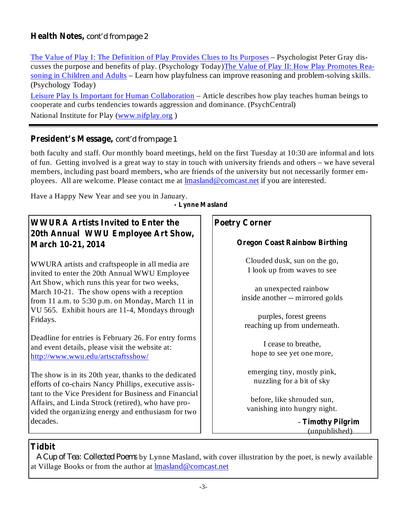### **Health Notes,** *cont'd from page 2*

The Value of Play I: The Definition of Play Provides Clues to Its Purposes – Psychologist Peter Gray discusses the purpose and benefits of play. (Psychology Today)The Value of Play II: How Play Promotes Reasoning in Children and Adults – Learn how playfulness can improve reasoning and problem-solving skills. (Psychology Today)

Leisure Play Is Important for Human Collaboration – Article describes how play teaches human beings to cooperate and curbs tendencies towards aggression and dominance. (PsychCentral) National Institute for Play (www.nifplay.org )

## **President's Message,** *cont'd from page 1*

both faculty and staff. Our monthly board meetings, held on the first Tuesday at 10:30 are informal and lots of fun. Getting involved is a great way to stay in touch with university friends and others – we have several members, including past board members, who are friends of the university but not necessarily former employees. All are welcome. Please contact me at lmasland@comcast.net if you are interested.

**- Lynne Masland** Have a Happy New Year and see you in January.

# **WWURA Artists Invited to Enter the 20th Annual WWU Employee Art Show, March 10-21, 2014**

WWURA artists and craftspeople in all media are invited to enter the 20th Annual WWU Employee Art Show, which runs this year for two weeks, March 10-21. The show opens with a reception from 11 a.m. to 5:30 p.m. on Monday, March 11 in VU 565. Exhibit hours are 11-4, Mondays through Fridays.

Deadline for entries is February 26. For entry forms and event details, please visit the website at: http://www.wwu.edu/artscraftsshow/

The show is in its 20th year, thanks to the dedicated efforts of co-chairs Nancy Phillips, executive assistant to the Vice President for Business and Financial Affairs, and Linda Strock (retired), who have provided the organizing energy and enthusiasm for two decades.

## **Poetry Corner**

#### **Oregon Coast Rainbow Birthing**

Clouded dusk, sun on the go, I look up from waves to see

an unexpected rainbow inside another -- mirrored golds

purples, forest greens reaching up from underneath.

I cease to breathe, hope to see yet one more,

emerging tiny, mostly pink, nuzzling for a bit of sky

before, like shrouded sun, vanishing into hungry night.

> **Timothy Pilgrim** - (unpublished)

## **Tidbit**

by Lynne Masland, with cover illustration by the poet, is newly available *A Cup of Tea: Collected Poems* at Village Books or from the author at lmasland@comcast.net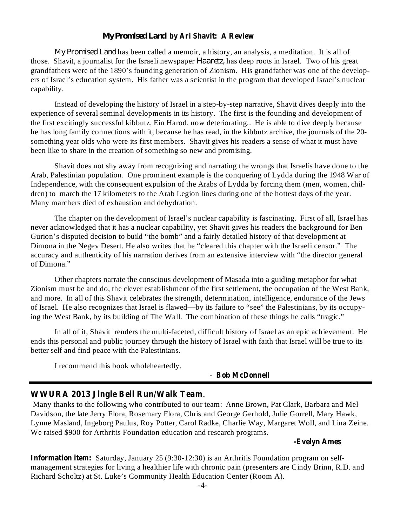#### *My Promised Land* **by Ari Shavit: A Review**

*My Promised Land* has been called a memoir, a history, an analysis, a meditation. It is all of those. Shavit, a journalist for the Israeli newspaper *Haaretz*, has deep roots in Israel. Two of his great grandfathers were of the 1890's founding generation of Zionism. His grandfather was one of the developers of Israel's education system. His father was a scientist in the program that developed Israel's nuclear capability.

Instead of developing the history of Israel in a step-by-step narrative, Shavit dives deeply into the experience of several seminal developments in its history. The first is the founding and development of the first excitingly successful kibbutz, Ein Harod, now deteriorating.. He is able to dive deeply because he has long family connections with it, because he has read, in the kibbutz archive, the journals of the 20 something year olds who were its first members. Shavit gives his readers a sense of what it must have been like to share in the creation of something so new and promising.

Shavit does not shy away from recognizing and narrating the wrongs that Israelis have done to the Arab, Palestinian population. One prominent example is the conquering of Lydda during the 1948 War of Independence, with the consequent expulsion of the Arabs of Lydda by forcing them (men, women, children) to march the 17 kilometers to the Arab Legion lines during one of the hottest days of the year. Many marchers died of exhaustion and dehydration.

The chapter on the development of Israel's nuclear capability is fascinating. First of all, Israel has never acknowledged that it has a nuclear capability, yet Shavit gives his readers the background for Ben Gurion's disputed decision to build "the bomb" and a fairly detailed history of that development at Dimona in the Negev Desert. He also writes that he "cleared this chapter with the Israeli censor." The accuracy and authenticity of his narration derives from an extensive interview with "the director general of Dimona."

Other chapters narrate the conscious development of Masada into a guiding metaphor for what Zionism must be and do, the clever establishment of the first settlement, the occupation of the West Bank, and more. In all of this Shavit celebrates the strength, determination, intelligence, endurance of the Jews of Israel. He also recognizes that Israel is flawed—by its failure to "see" the Palestinians, by its occupying the West Bank, by its building of The Wall. The combination of these things he calls "tragic."

In all of it, Shavit renders the multi-faceted, difficult history of Israel as an epic achievement. He ends this personal and public journey through the history of Israel with faith that Israel will be true to its better self and find peace with the Palestinians.

I recommend this book wholeheartedly.

#### **Bob McDonnell** -

#### **WWURA 2013 Jingle Bell Run/Walk Team** .

Many thanks to the following who contributed to our team: Anne Brown, Pat Clark, Barbara and Mel Davidson, the late Jerry Flora, Rosemary Flora, Chris and George Gerhold, Julie Gorrell, Mary Hawk, Lynne Masland, Ingeborg Paulus, Roy Potter, Carol Radke, Charlie Way, Margaret Woll, and Lina Zeine. We raised \$900 for Arthritis Foundation education and research programs.

#### **-Evelyn Ames**

**Information item:** Saturday, January 25 (9:30-12:30) is an Arthritis Foundation program on selfmanagement strategies for living a healthier life with chronic pain (presenters are Cindy Brinn, R.D. and Richard Scholtz) at St. Luke's Community Health Education Center (Room A).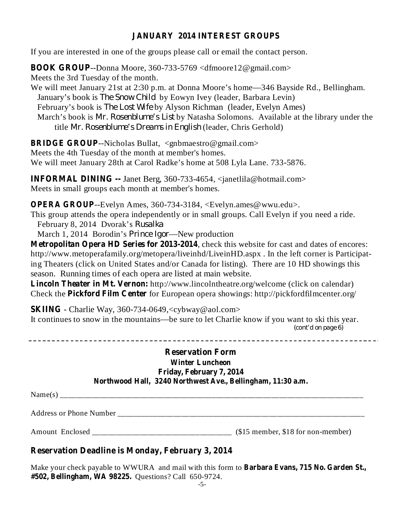### **JANUARY 2014 INTEREST GROUPS**

If you are interested in one of the groups please call or email the contact person.

**BOOK GROUP** --Donna Moore, 360-733-5769 <dfmoore12@gmail.com> Meets the 3rd Tuesday of the month.

We will meet January 21st at 2:30 p.m. at Donna Moore's home—346 Bayside Rd., Bellingham. January's book is *The Snow Child* by Eowyn Ivey (leader, Barbara Levin) February's book is *The Lost Wife* by Alyson Richman (leader, Evelyn Ames) March's book is *Mr. Rosenblume's List* by Natasha Solomons. Available at the library under the fitle Mr. Rosenblume's Dreams in English (leader, Chris Gerhold)

**BRIDGE GROUP** --Nicholas Bullat, <gnbmaestro@gmail.com>

Meets the 4th Tuesday of the month at member's homes.

We will meet January 28th at Carol Radke's home at 508 Lyla Lane. 733-5876.

**INFORMAL DINING --** Janet Berg, 360-733-4654, <janetlila@hotmail.com> Meets in small groups each month at member's homes.

**OPERA GROUP** --Evelyn Ames, 360-734-3184, <Evelyn.ames@wwu.edu>.

This group attends the opera independently or in small groups. Call Evelyn if you need a ride.

February 8, 2014 Dvorak's *Rusalka*

March 1, 2014 Borodin's *Prince Igor*—New production

**Metropolitan Opera HD Series for 2013-2014** , check this website for cast and dates of encores: http://www.metoperafamily.org/metopera/liveinhd/LiveinHD.aspx . In the left corner is Participating Theaters (click on United States and/or Canada for listing). There are 10 HD showings this season. Running times of each opera are listed at main website.

**Lincoln Theater in Mt. Vernon:** http://www.lincolntheatre.org/welcome (click on calendar) Check the **Pickford Film Center** for European opera showings: http://pickfordfilmcenter.org/

**SKIING** - Charlie Way, 360-734-0649,<cybway@aol.com> It continues to snow in the mountains—be sure to let Charlie know if you want to ski this year. *(cont'd on page 6)*

#### **Reservation Form Winter Luncheon Friday, February 7, 2014 Northwood Hall, 3240 Northwest Ave., Bellingham, 11:30 a.m.**

Name(s) \_\_\_\_\_\_\_\_\_\_\_\_\_\_\_\_\_\_\_\_\_\_\_\_\_\_\_\_\_\_\_\_\_\_\_\_\_\_\_\_\_\_\_\_\_\_\_\_\_\_\_\_\_\_\_\_\_\_\_\_\_\_\_\_\_\_\_\_\_\_\_\_\_\_\_\_

Address or Phone Number \_\_\_\_\_\_\_\_\_\_\_\_\_\_\_\_\_\_\_\_\_\_\_\_\_\_\_\_\_\_\_\_\_\_\_\_\_\_\_\_\_\_\_\_\_\_\_\_\_\_\_\_\_\_\_\_\_\_\_\_\_\_

Amount Enclosed \_\_\_\_\_\_\_\_\_\_\_\_\_\_\_\_\_\_\_\_\_\_\_\_\_\_\_\_\_\_\_\_\_\_\_ (\$15 member, \$18 for non-member)

## **Reservation Deadline is Monday, February 3, 2014**

**Barbara Evans, 715 No. Garden St.,** Make your check payable to WWURA and mail with this form to **#502, Bellingham, WA 98225.** Questions? Call 650-9724.